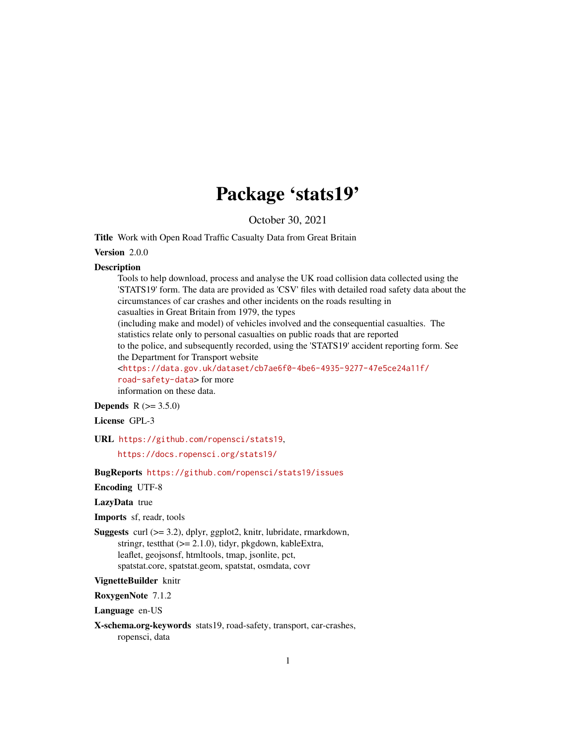# Package 'stats19'

October 30, 2021

<span id="page-0-0"></span>Title Work with Open Road Traffic Casualty Data from Great Britain

Version 2.0.0

#### **Description**

Tools to help download, process and analyse the UK road collision data collected using the 'STATS19' form. The data are provided as 'CSV' files with detailed road safety data about the circumstances of car crashes and other incidents on the roads resulting in casualties in Great Britain from 1979, the types

(including make and model) of vehicles involved and the consequential casualties. The statistics relate only to personal casualties on public roads that are reported

to the police, and subsequently recorded, using the 'STATS19' accident reporting form. See the Department for Transport website

<[https://data.gov.uk/dataset/cb7ae6f0-4be6-4935-9277-47e5ce24a11f/](https://data.gov.uk/dataset/cb7ae6f0-4be6-4935-9277-47e5ce24a11f/road-safety-data) [road-safety-data](https://data.gov.uk/dataset/cb7ae6f0-4be6-4935-9277-47e5ce24a11f/road-safety-data)> for more information on these data.

### **Depends**  $R (= 3.5.0)$

### License GPL-3

URL <https://github.com/ropensci/stats19>,

<https://docs.ropensci.org/stats19/>

### BugReports <https://github.com/ropensci/stats19/issues>

### Encoding UTF-8

### LazyData true

Imports sf, readr, tools

Suggests curl (>= 3.2), dplyr, ggplot2, knitr, lubridate, rmarkdown, stringr, testthat (>= 2.1.0), tidyr, pkgdown, kableExtra, leaflet, geojsonsf, htmltools, tmap, jsonlite, pct, spatstat.core, spatstat.geom, spatstat, osmdata, covr

#### VignetteBuilder knitr

RoxygenNote 7.1.2

Language en-US

X-schema.org-keywords stats19, road-safety, transport, car-crashes, ropensci, data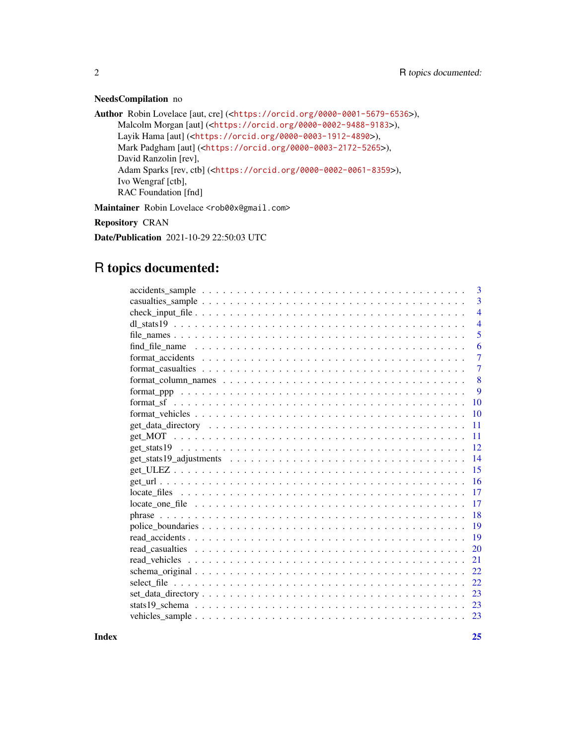### NeedsCompilation no

```
Author Robin Lovelace [aut, cre] (<https://orcid.org/0000-0001-5679-6536>),
     Malcolm Morgan [aut] (<https://orcid.org/0000-0002-9488-9183>),
     Layik Hama [aut] (<https://orcid.org/0000-0003-1912-4890>),
     Mark Padgham [aut] (<https://orcid.org/0000-0003-2172-5265>),
     David Ranzolin [rev],
     Adam Sparks [rev, ctb] (<https://orcid.org/0000-0002-0061-8359>),
     Ivo Wengraf [ctb],
     RAC Foundation [fnd]
Maintainer Robin Lovelace <rob00x@gmail.com>
```
Repository CRAN

Date/Publication 2021-10-29 22:50:03 UTC

# R topics documented:

| $accidents\_sample \dots \dots \dots \dots \dots \dots \dots \dots \dots \dots \dots \dots \dots \dots \dots$          | 3              |
|------------------------------------------------------------------------------------------------------------------------|----------------|
|                                                                                                                        | 3              |
|                                                                                                                        | $\overline{4}$ |
|                                                                                                                        | $\overline{4}$ |
|                                                                                                                        | 5              |
|                                                                                                                        | 6              |
|                                                                                                                        | 7              |
|                                                                                                                        | $\overline{7}$ |
|                                                                                                                        | 8              |
|                                                                                                                        | 9              |
|                                                                                                                        | 10             |
|                                                                                                                        | 10             |
|                                                                                                                        | 11             |
|                                                                                                                        | 11             |
|                                                                                                                        | 12             |
| $get\_stats19\_adjustments \dots \dots \dots \dots \dots \dots \dots \dots \dots \dots \dots$                          | 14             |
|                                                                                                                        | 15             |
|                                                                                                                        | 16             |
| $\text{locate\_files} \dots \dots \dots \dots \dots \dots \dots \dots \dots \dots \dots \dots \dots \dots \dots \dots$ | 17             |
|                                                                                                                        | 17             |
|                                                                                                                        | 18             |
|                                                                                                                        | 19             |
|                                                                                                                        |                |
|                                                                                                                        | 20             |
|                                                                                                                        | 21             |
|                                                                                                                        | 22             |
|                                                                                                                        | 22             |
|                                                                                                                        | 23             |
|                                                                                                                        | 23             |
|                                                                                                                        |                |
|                                                                                                                        |                |

**Index** [25](#page-24-0)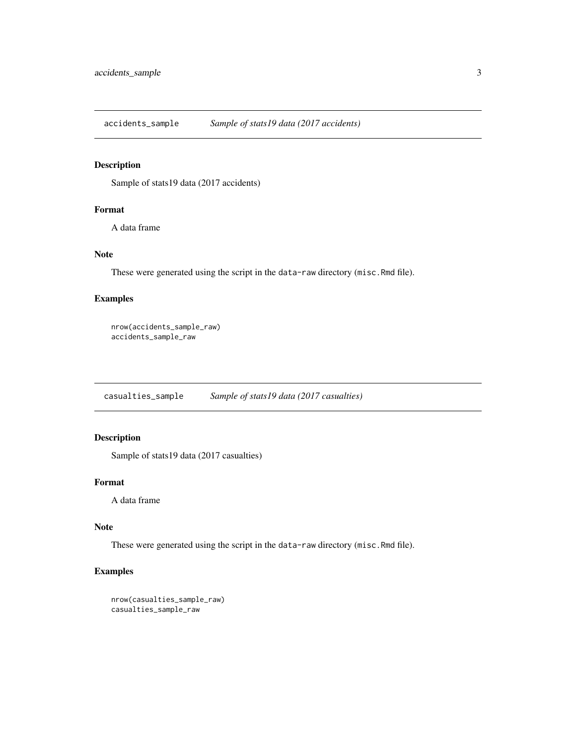<span id="page-2-0"></span>accidents\_sample *Sample of stats19 data (2017 accidents)*

### Description

Sample of stats19 data (2017 accidents)

### Format

A data frame

### Note

These were generated using the script in the data-raw directory (misc.Rmd file).

### Examples

```
nrow(accidents_sample_raw)
accidents_sample_raw
```
casualties\_sample *Sample of stats19 data (2017 casualties)*

### Description

Sample of stats19 data (2017 casualties)

### Format

A data frame

### Note

These were generated using the script in the data-raw directory (misc.Rmd file).

```
nrow(casualties_sample_raw)
casualties_sample_raw
```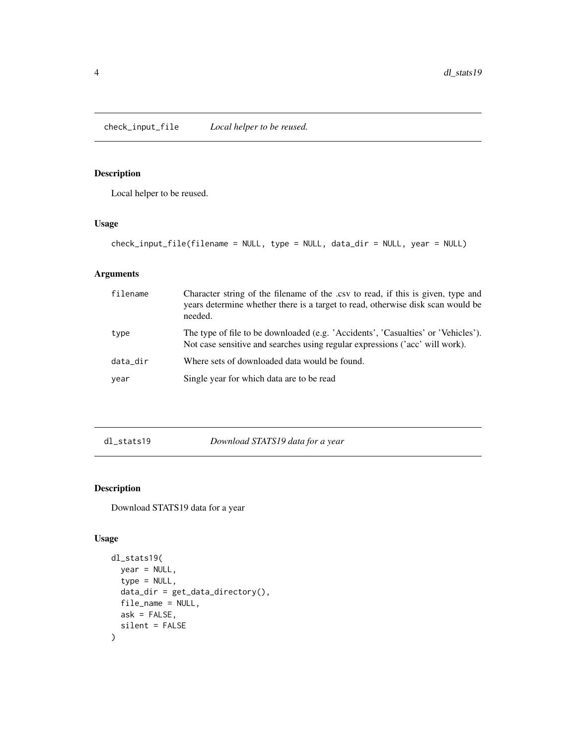<span id="page-3-0"></span>check\_input\_file *Local helper to be reused.*

### Description

Local helper to be reused.

### Usage

check\_input\_file(filename = NULL, type = NULL, data\_dir = NULL, year = NULL)

### Arguments

| filename | Character string of the filename of the .csv to read, if this is given, type and<br>years determine whether there is a target to read, otherwise disk scan would be<br>needed. |
|----------|--------------------------------------------------------------------------------------------------------------------------------------------------------------------------------|
| type     | The type of file to be downloaded (e.g. 'Accidents', 'Casualties' or 'Vehicles').<br>Not case sensitive and searches using regular expressions ('acc' will work).              |
| data_dir | Where sets of downloaded data would be found.                                                                                                                                  |
| year     | Single year for which data are to be read                                                                                                                                      |

<span id="page-3-1"></span>dl\_stats19 *Download STATS19 data for a year*

### Description

Download STATS19 data for a year

### Usage

```
dl_stats19(
 year = NULL,
  type = NULL,
 data_dir = get_data_directory(),
 file_name = NULL,
 ask = FALSE,silent = FALSE
)
```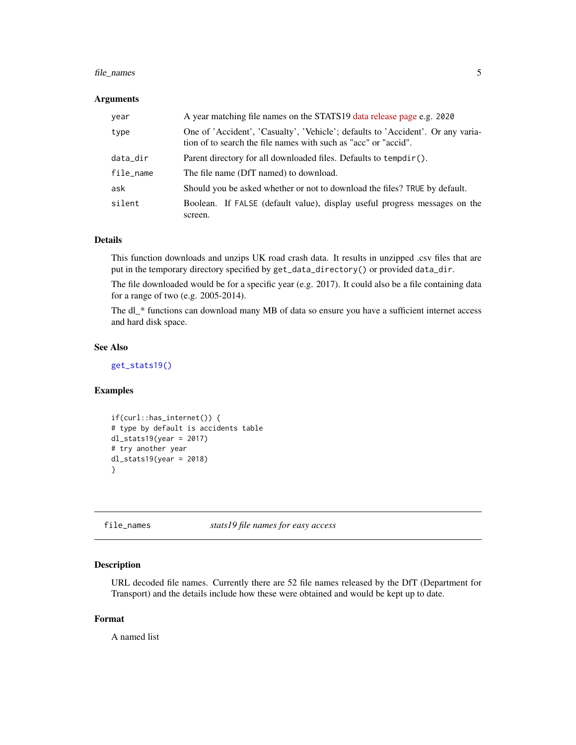### <span id="page-4-0"></span>file\_names 5

#### Arguments

| year      | A year matching file names on the STATS19 data release page e.g. 2020                                                                              |
|-----------|----------------------------------------------------------------------------------------------------------------------------------------------------|
| type      | One of 'Accident', 'Casualty', 'Vehicle'; defaults to 'Accident'. Or any varia-<br>tion of to search the file names with such as "acc" or "accid". |
| data_dir  | Parent directory for all downloaded files. Defaults to tempdir().                                                                                  |
| file_name | The file name (DfT named) to download.                                                                                                             |
| ask       | Should you be asked whether or not to download the files? TRUE by default.                                                                         |
| silent    | Boolean. If FALSE (default value), display useful progress messages on the<br>screen.                                                              |

#### Details

This function downloads and unzips UK road crash data. It results in unzipped .csv files that are put in the temporary directory specified by get\_data\_directory() or provided data\_dir.

The file downloaded would be for a specific year (e.g. 2017). It could also be a file containing data for a range of two (e.g. 2005-2014).

The dl\_\* functions can download many MB of data so ensure you have a sufficient internet access and hard disk space.

#### See Also

[get\\_stats19\(\)](#page-11-1)

### Examples

```
if(curl::has_internet()) {
# type by default is accidents table
dl_stats19(year = 2017)
# try another year
dl_stats19(year = 2018)
}
```
file\_names *stats19 file names for easy access*

### Description

URL decoded file names. Currently there are 52 file names released by the DfT (Department for Transport) and the details include how these were obtained and would be kept up to date.

### Format

A named list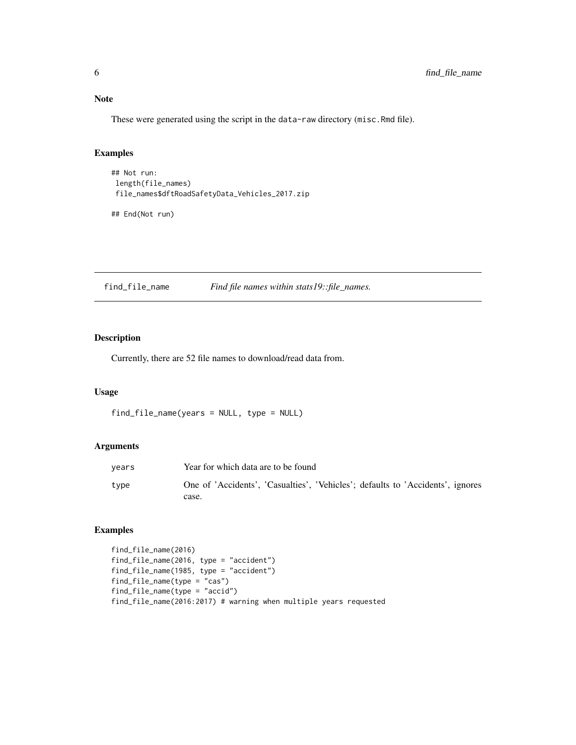<span id="page-5-0"></span>Note

These were generated using the script in the data-raw directory (misc.Rmd file).

### Examples

```
## Not run:
length(file_names)
file_names$dftRoadSafetyData_Vehicles_2017.zip
```
## End(Not run)

find\_file\_name *Find file names within stats19::file\_names.*

### Description

Currently, there are 52 file names to download/read data from.

### Usage

```
find_file_name(years = NULL, type = NULL)
```
### Arguments

| years | Year for which data are to be found                                            |
|-------|--------------------------------------------------------------------------------|
| type  | One of 'Accidents', 'Casualties', 'Vehicles'; defaults to 'Accidents', ignores |
|       | case.                                                                          |

```
find_file_name(2016)
find_file_name(2016, type = "accident")
find_file_name(1985, type = "accident")
find_file_name(type = "cas")
find_file_name(type = "accid")
find_file_name(2016:2017) # warning when multiple years requested
```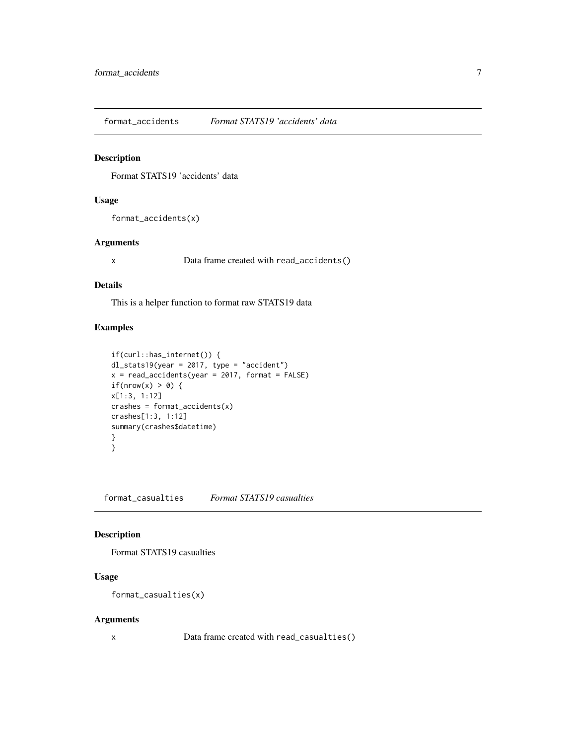<span id="page-6-0"></span>format\_accidents *Format STATS19 'accidents' data*

#### Description

Format STATS19 'accidents' data

#### Usage

format\_accidents(x)

### Arguments

x Data frame created with read\_accidents()

### Details

This is a helper function to format raw STATS19 data

### Examples

```
if(curl::has_internet()) {
dl_stats19(year = 2017, type = "accident")
x = read\_accidents(year = 2017, format = FALSE)if(nrow(x) > 0) {
x[1:3, 1:12]
crashes = format_accidents(x)
crashes[1:3, 1:12]
summary(crashes$datetime)
}
}
```
format\_casualties *Format STATS19 casualties*

### Description

Format STATS19 casualties

### Usage

```
format_casualties(x)
```
#### Arguments

x Data frame created with read\_casualties()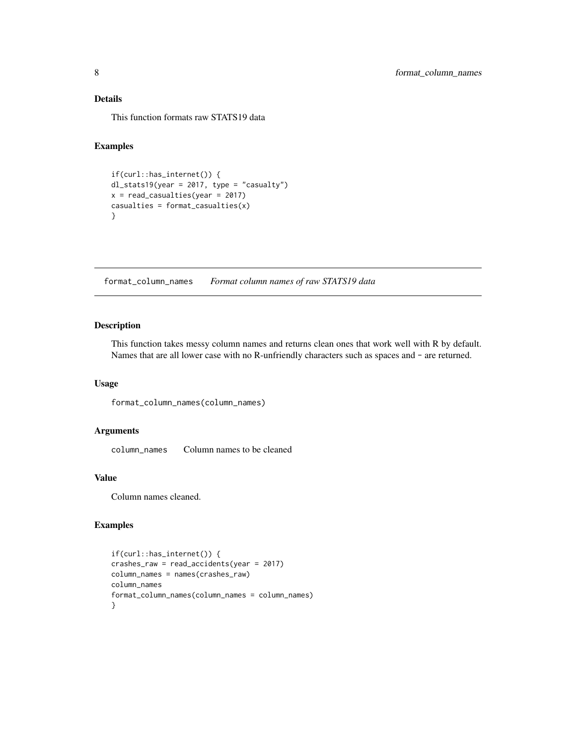<span id="page-7-0"></span>This function formats raw STATS19 data

### Examples

```
if(curl::has_internet()) {
dl_stats19(year = 2017, type = "casualty")
x = read_casualties(year = 2017)
casualties = format_casualties(x)
}
```
format\_column\_names *Format column names of raw STATS19 data*

#### Description

This function takes messy column names and returns clean ones that work well with R by default. Names that are all lower case with no R-unfriendly characters such as spaces and - are returned.

### Usage

format\_column\_names(column\_names)

### Arguments

column\_names Column names to be cleaned

#### Value

Column names cleaned.

```
if(curl::has_internet()) {
crashes_raw = read_accidents(year = 2017)
column_names = names(crashes_raw)
column_names
format_column_names(column_names = column_names)
}
```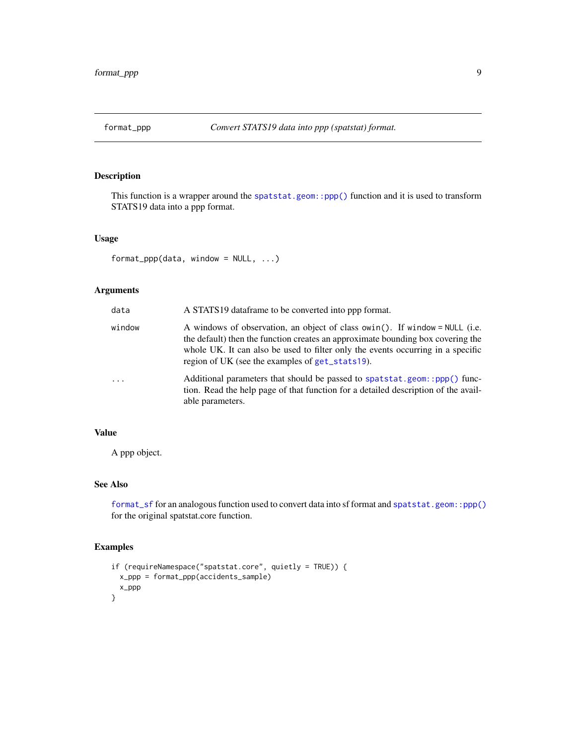<span id="page-8-1"></span><span id="page-8-0"></span>

#### Description

This function is a wrapper around the [spatstat.geom::ppp\(\)](#page-0-0) function and it is used to transform STATS19 data into a ppp format.

#### Usage

```
format_ppp(data, window = NULL, ...)
```
### Arguments

| data       | A STATS19 dataframe to be converted into ppp format.                                                                                                                                                                                                                                                 |
|------------|------------------------------------------------------------------------------------------------------------------------------------------------------------------------------------------------------------------------------------------------------------------------------------------------------|
| window     | A windows of observation, an object of class owin(). If window = NULL (i.e.<br>the default) then the function creates an approximate bounding box covering the<br>whole UK. It can also be used to filter only the events occurring in a specific<br>region of UK (see the examples of get_stats19). |
| $\ddots$ . | Additional parameters that should be passed to spatstat.geom::ppp() func-<br>tion. Read the help page of that function for a detailed description of the avail-<br>able parameters.                                                                                                                  |

### Value

A ppp object.

### See Also

[format\\_sf](#page-9-1) for an analogous function used to convert data into sf format and [spatstat.geom::ppp\(\)](#page-0-0) for the original spatstat.core function.

```
if (requireNamespace("spatstat.core", quietly = TRUE)) {
  x_ppp = format_ppp(accidents_sample)
  x_ppp
}
```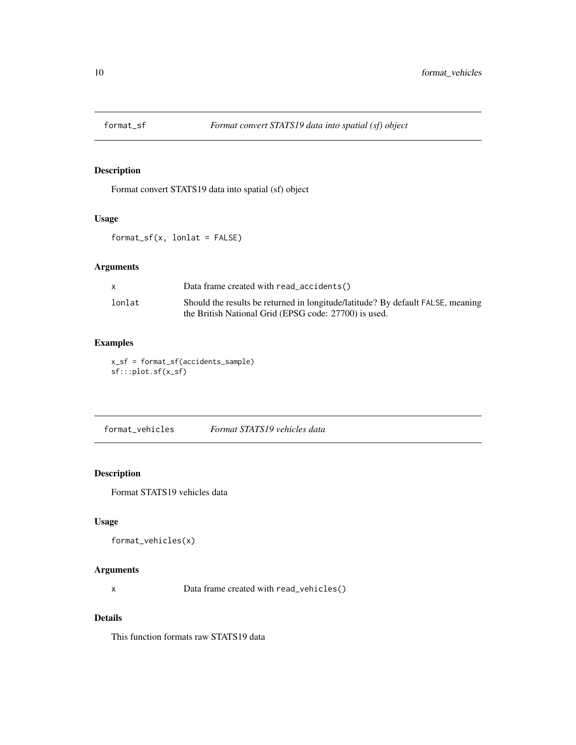<span id="page-9-1"></span><span id="page-9-0"></span>

### Description

Format convert STATS19 data into spatial (sf) object

#### Usage

format\_sf(x, lonlat = FALSE)

### Arguments

|        | Data frame created with read_accidents()                                        |
|--------|---------------------------------------------------------------------------------|
| lonlat | Should the results be returned in longitude/latitude? By default FALSE, meaning |
|        | the British National Grid (EPSG code: 27700) is used.                           |

### Examples

x\_sf = format\_sf(accidents\_sample) sf:::plot.sf(x\_sf)

format\_vehicles *Format STATS19 vehicles data*

### Description

Format STATS19 vehicles data

### Usage

```
format_vehicles(x)
```
### Arguments

x Data frame created with read\_vehicles()

### Details

This function formats raw STATS19 data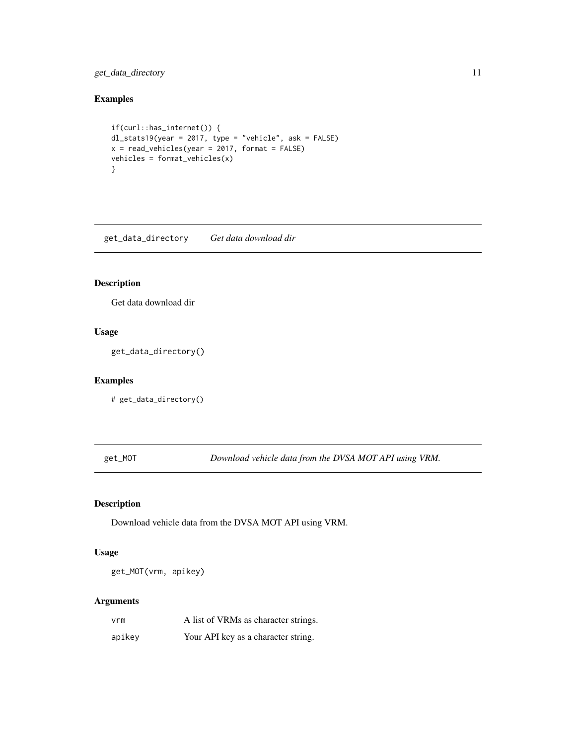### <span id="page-10-0"></span>get\_data\_directory 11

### Examples

```
if(curl::has_internet()) {
dl_stats19(year = 2017, type = "vehicle", ask = FALSE)
x = read\_vehicles(year = 2017, format = FALSE)vehicles = format_vehicles(x)
}
```
get\_data\_directory *Get data download dir*

### Description

Get data download dir

### Usage

get\_data\_directory()

### Examples

# get\_data\_directory()

get\_MOT *Download vehicle data from the DVSA MOT API using VRM.*

### Description

Download vehicle data from the DVSA MOT API using VRM.

#### Usage

get\_MOT(vrm, apikey)

#### Arguments

| vrm    | A list of VRMs as character strings. |
|--------|--------------------------------------|
| apikey | Your API key as a character string.  |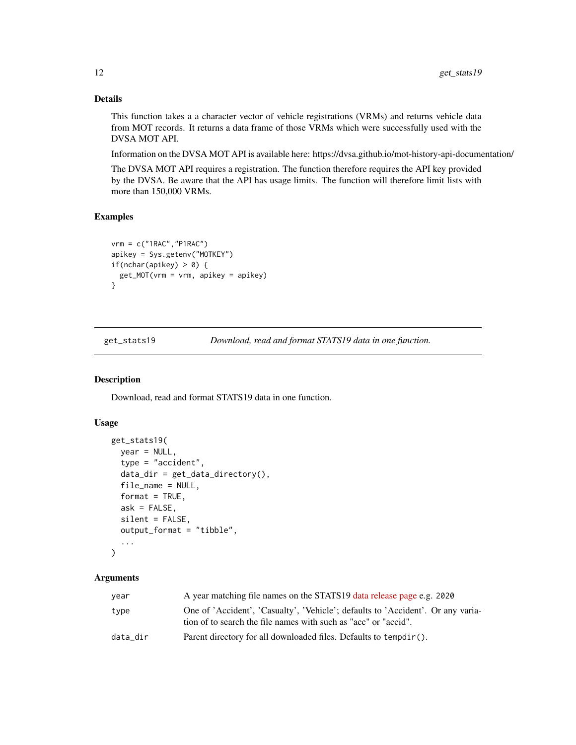This function takes a a character vector of vehicle registrations (VRMs) and returns vehicle data from MOT records. It returns a data frame of those VRMs which were successfully used with the DVSA MOT API.

Information on the DVSA MOT API is available here: https://dvsa.github.io/mot-history-api-documentation/

The DVSA MOT API requires a registration. The function therefore requires the API key provided by the DVSA. Be aware that the API has usage limits. The function will therefore limit lists with more than 150,000 VRMs.

### Examples

```
vrm = c("1RAC","P1RAC")
apikey = Sys.getenv("MOTKEY")
if(nchar(apikey) > 0) {
 get_MOT(vrm = vrm, apikey = apikey)
}
```
<span id="page-11-1"></span>get\_stats19 *Download, read and format STATS19 data in one function.*

#### Description

Download, read and format STATS19 data in one function.

### Usage

```
get_stats19(
  year = NULL,type = "accident",
  data\_dir = get\_data\_directory(),file_name = NULL,
  format = TRUE,ask = FALSE,silent = FALSE,
  output_format = "tibble",
  ...
)
```
### Arguments

| year     | A year matching file names on the STATS19 data release page e.g. 2020                                                                              |
|----------|----------------------------------------------------------------------------------------------------------------------------------------------------|
| type     | One of 'Accident', 'Casualty', 'Vehicle'; defaults to 'Accident'. Or any varia-<br>tion of to search the file names with such as "acc" or "accid". |
| data_dir | Parent directory for all downloaded files. Defaults to tempdir().                                                                                  |

<span id="page-11-0"></span>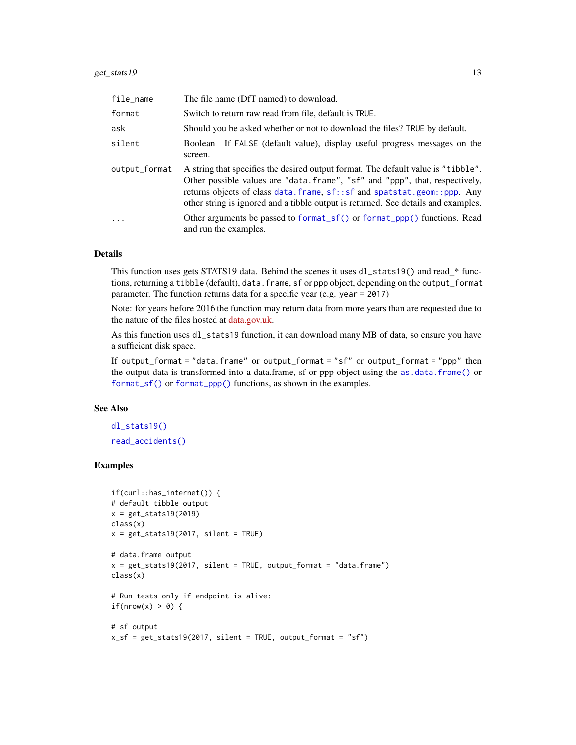<span id="page-12-0"></span>

| file_name     | The file name (DfT named) to download.                                                                                                                                                                                                                                                                                                |
|---------------|---------------------------------------------------------------------------------------------------------------------------------------------------------------------------------------------------------------------------------------------------------------------------------------------------------------------------------------|
| format        | Switch to return raw read from file, default is TRUE.                                                                                                                                                                                                                                                                                 |
| ask           | Should you be asked whether or not to download the files? TRUE by default.                                                                                                                                                                                                                                                            |
| silent        | Boolean. If FALSE (default value), display useful progress messages on the<br>screen.                                                                                                                                                                                                                                                 |
| output_format | A string that specifies the desired output format. The default value is "tibble".<br>Other possible values are "data. frame", "sf" and "ppp", that, respectively,<br>returns objects of class data. frame, sf:: sf and spatstat.geom:: ppp. Any<br>other string is ignored and a tibble output is returned. See details and examples. |
| $\cdot$       | Other arguments be passed to format_sf() or format_ppp() functions. Read<br>and run the examples.                                                                                                                                                                                                                                     |

This function uses gets STATS19 data. Behind the scenes it uses dl\_stats19() and read\_\* functions, returning a tibble (default), data. frame, sf or ppp object, depending on the output\_format parameter. The function returns data for a specific year (e.g. year = 2017)

Note: for years before 2016 the function may return data from more years than are requested due to the nature of the files hosted at [data.gov.uk.](https://data.gov.uk/dataset/cb7ae6f0-4be6-4935-9277-47e5ce24a11f/road-safety-data)

As this function uses dl\_stats19 function, it can download many MB of data, so ensure you have a sufficient disk space.

If output\_format = "data.frame" or output\_format = "sf" or output\_format = "ppp" then the output data is transformed into a data.frame, sf or ppp object using the [as.data.frame\(\)](#page-0-0) or [format\\_sf\(\)](#page-9-1) or [format\\_ppp\(\)](#page-8-1) functions, as shown in the examples.

#### See Also

[dl\\_stats19\(\)](#page-3-1) [read\\_accidents\(\)](#page-18-1)

```
if(curl::has_internet()) {
# default tibble output
x = get\_stats19(2019)class(x)
x = get\_stats19(2017, silent = TRUE)# data.frame output
x = get\_stats19(2017, silent = TRUE, output\_format = "data-frame")class(x)
# Run tests only if endpoint is alive:
if(nrow(x) > 0) {
# sf output
x_s = get_stats19(2017, silent = TRUE, output_format = "sf")
```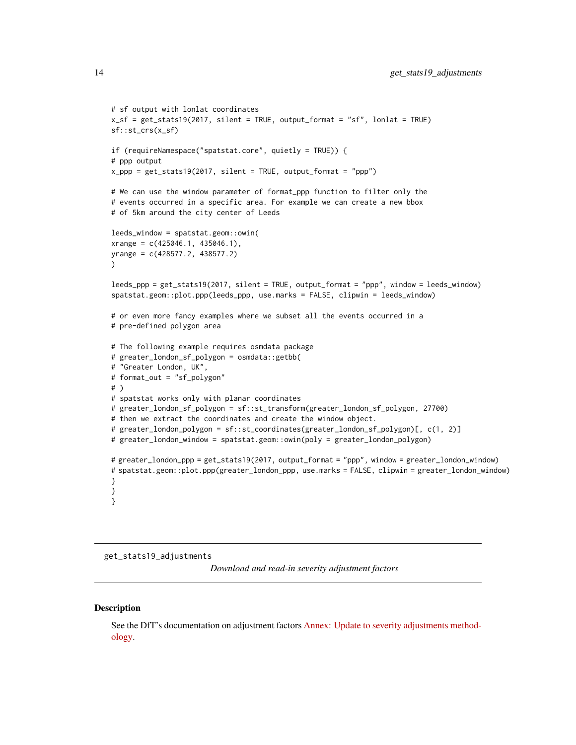```
# sf output with lonlat coordinates
x_sf = get_stats19(2017, silent = TRUE, output_format = "sf", lonlat = TRUE)
sf::st_crs(x_sf)
if (requireNamespace("spatstat.core", quietly = TRUE)) {
# ppp output
x_ppp = get_stats19(2017, silent = TRUE, output_format = "ppp")
# We can use the window parameter of format_ppp function to filter only the
# events occurred in a specific area. For example we can create a new bbox
# of 5km around the city center of Leeds
leeds_window = spatstat.geom::owin(
xrange = c(425046.1, 435046.1),
yrange = c(428577.2, 438577.2)
\lambdaleeds_ppp = get_stats19(2017, silent = TRUE, output_format = "ppp", window = leeds_window)
spatstat.geom::plot.ppp(leeds_ppp, use.marks = FALSE, clipwin = leeds_window)
# or even more fancy examples where we subset all the events occurred in a
# pre-defined polygon area
# The following example requires osmdata package
# greater_london_sf_polygon = osmdata::getbb(
# "Greater London, UK",
# format_out = "sf_polygon"
# )
# spatstat works only with planar coordinates
# greater_london_sf_polygon = sf::st_transform(greater_london_sf_polygon, 27700)
# then we extract the coordinates and create the window object.
# greater_london_polygon = sf::st_coordinates(greater_london_sf_polygon)[, c(1, 2)]
# greater_london_window = spatstat.geom::owin(poly = greater_london_polygon)
# greater_london_ppp = get_stats19(2017, output_format = "ppp", window = greater_london_window)
# spatstat.geom::plot.ppp(greater_london_ppp, use.marks = FALSE, clipwin = greater_london_window)
}
}
}
```
get\_stats19\_adjustments

*Download and read-in severity adjustment factors*

#### **Description**

See the DfT's documentation on adjustment factors [Annex: Update to severity adjustments method](https://assets.publishing.service.gov.uk/government/uploads/system/uploads/attachment_data/file/833813/annex-update-severity-adjustments-methodology.pdf)[ology.](https://assets.publishing.service.gov.uk/government/uploads/system/uploads/attachment_data/file/833813/annex-update-severity-adjustments-methodology.pdf)

<span id="page-13-0"></span>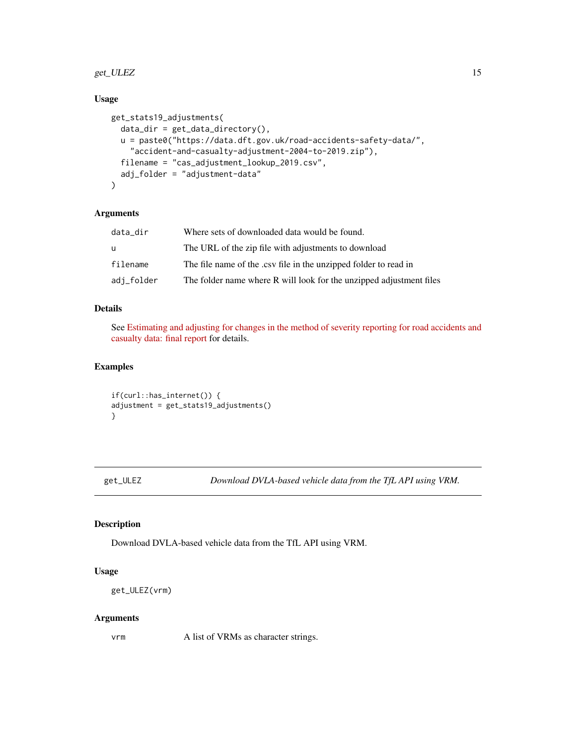### <span id="page-14-0"></span>get\_ULEZ 15

### Usage

```
get_stats19_adjustments(
  data_dir = get_data_directory(),
 u = paste0("https://data.dft.gov.uk/road-accidents-safety-data/",
    "accident-and-casualty-adjustment-2004-to-2019.zip"),
  filename = "cas_adjustment_lookup_2019.csv",
  adj_folder = "adjustment-data"
)
```
#### Arguments

| data dir   | Where sets of downloaded data would be found.                       |
|------------|---------------------------------------------------------------------|
| u          | The URL of the zip file with adjustments to download                |
| filename   | The file name of the .csv file in the unzipped folder to read in    |
| adj_folder | The folder name where R will look for the unzipped adjustment files |

### Details

See [Estimating and adjusting for changes in the method of severity reporting for road accidents and](https://assets.publishing.service.gov.uk/government/uploads/system/uploads/attachment_data/file/820588/severity-reporting-methodology-final-report.odt) [casualty data: final report](https://assets.publishing.service.gov.uk/government/uploads/system/uploads/attachment_data/file/820588/severity-reporting-methodology-final-report.odt) for details.

### Examples

```
if(curl::has_internet()) {
adjustment = get_stats19_adjustments()
}
```
get\_ULEZ *Download DVLA-based vehicle data from the TfL API using VRM.*

#### Description

Download DVLA-based vehicle data from the TfL API using VRM.

#### Usage

```
get_ULEZ(vrm)
```
#### Arguments

vrm A list of VRMs as character strings.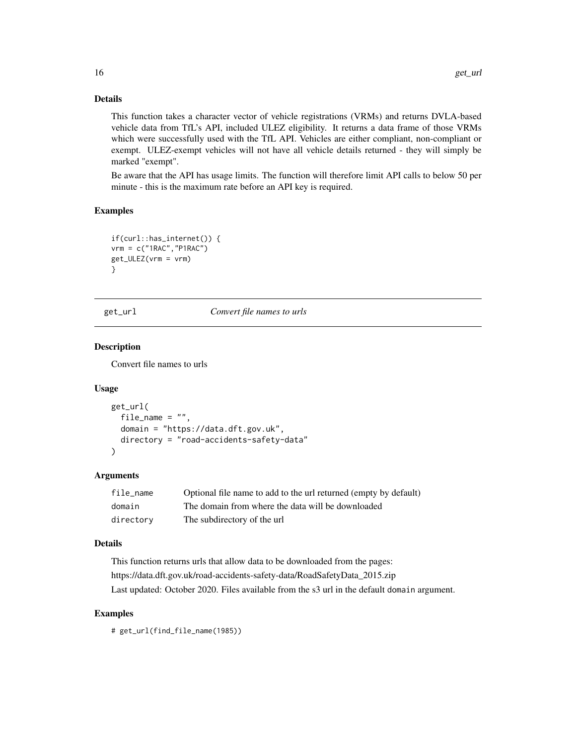This function takes a character vector of vehicle registrations (VRMs) and returns DVLA-based vehicle data from TfL's API, included ULEZ eligibility. It returns a data frame of those VRMs which were successfully used with the TfL API. Vehicles are either compliant, non-compliant or exempt. ULEZ-exempt vehicles will not have all vehicle details returned - they will simply be marked "exempt".

Be aware that the API has usage limits. The function will therefore limit API calls to below 50 per minute - this is the maximum rate before an API key is required.

#### Examples

```
if(curl::has_internet()) {
vrm = c("1RAC","P1RAC")
get_ULEZ(vrm = vrm)
}
```
get\_url *Convert file names to urls*

### **Description**

Convert file names to urls

### Usage

```
get_url(
  file_name = ",
  domain = "https://data.dft.gov.uk",
  directory = "road-accidents-safety-data"
\lambda
```
### Arguments

| file name | Optional file name to add to the url returned (empty by default) |
|-----------|------------------------------------------------------------------|
| domain    | The domain from where the data will be downloaded                |
| directory | The subdirectory of the url                                      |

#### Details

This function returns urls that allow data to be downloaded from the pages: https://data.dft.gov.uk/road-accidents-safety-data/RoadSafetyData\_2015.zip Last updated: October 2020. Files available from the s3 url in the default domain argument.

### Examples

# get\_url(find\_file\_name(1985))

<span id="page-15-0"></span>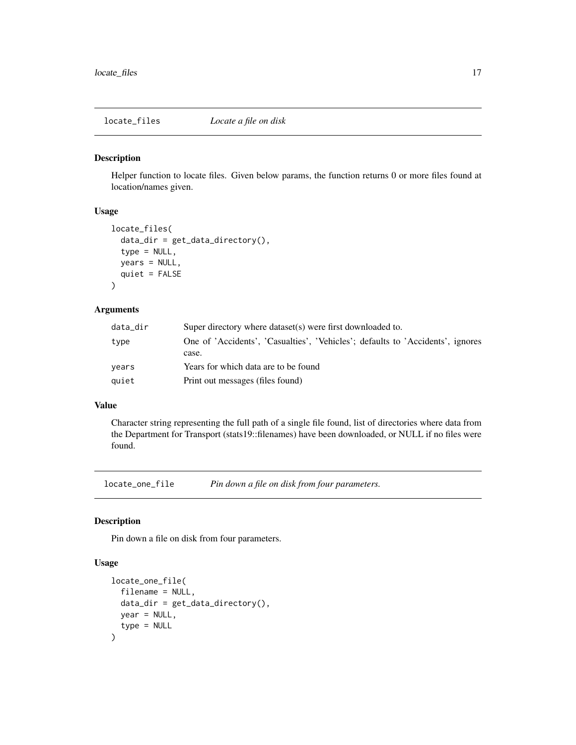<span id="page-16-0"></span>locate\_files *Locate a file on disk*

#### Description

Helper function to locate files. Given below params, the function returns 0 or more files found at location/names given.

### Usage

```
locate_files(
  data\_dir = get\_data\_directory(),type = NULL,
  years = NULL,
  quiet = FALSE
)
```
### Arguments

| data_dir | Super directory where dataset (s) were first downloaded to.                    |
|----------|--------------------------------------------------------------------------------|
| type     | One of 'Accidents', 'Casualties', 'Vehicles'; defaults to 'Accidents', ignores |
|          | case.                                                                          |
| vears    | Years for which data are to be found                                           |
| quiet    | Print out messages (files found)                                               |

#### Value

Character string representing the full path of a single file found, list of directories where data from the Department for Transport (stats19::filenames) have been downloaded, or NULL if no files were found.

locate\_one\_file *Pin down a file on disk from four parameters.*

#### Description

Pin down a file on disk from four parameters.

#### Usage

```
locate_one_file(
  filename = NULL,
  data_dir = get_data_directory(),
  year = NULL,
  type = NULL
\mathcal{E}
```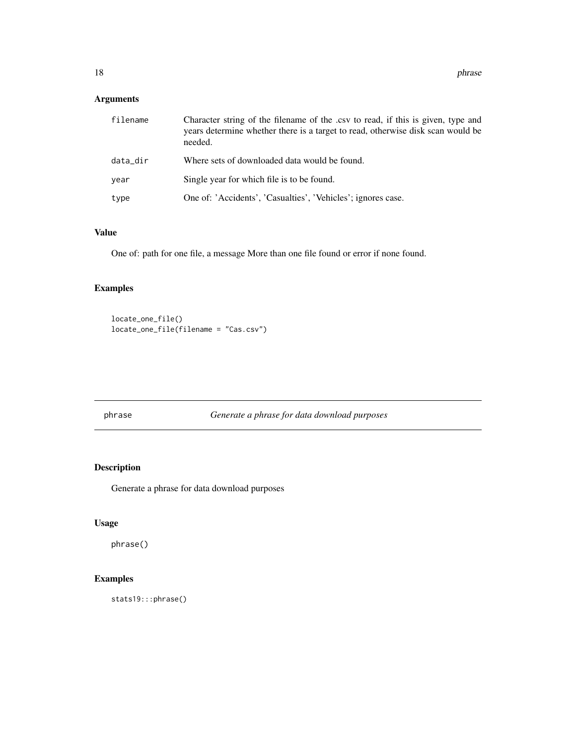### <span id="page-17-0"></span>Arguments

| filename | Character string of the filename of the .csv to read, if this is given, type and<br>years determine whether there is a target to read, otherwise disk scan would be<br>needed. |
|----------|--------------------------------------------------------------------------------------------------------------------------------------------------------------------------------|
| data_dir | Where sets of downloaded data would be found.                                                                                                                                  |
| year     | Single year for which file is to be found.                                                                                                                                     |
| type     | One of: 'Accidents', 'Casualties', 'Vehicles'; ignores case.                                                                                                                   |

### Value

One of: path for one file, a message More than one file found or error if none found.

### Examples

locate\_one\_file() locate\_one\_file(filename = "Cas.csv")

phrase *Generate a phrase for data download purposes*

### Description

Generate a phrase for data download purposes

### Usage

phrase()

### Examples

stats19:::phrase()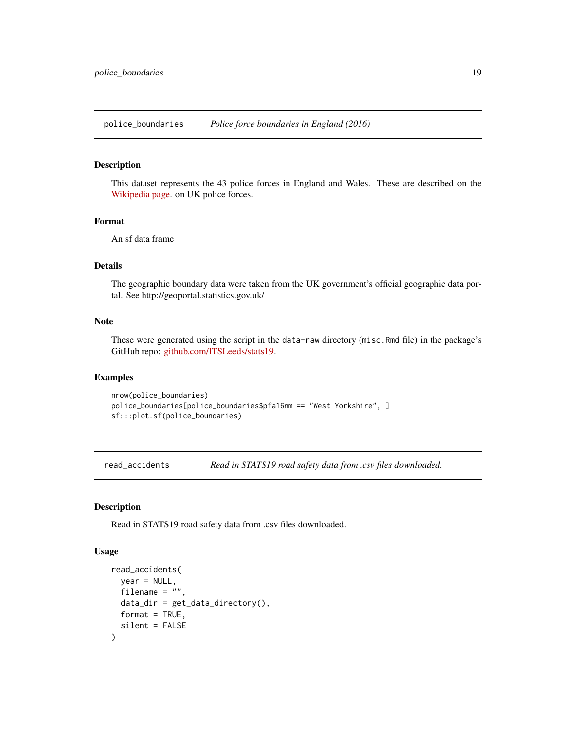<span id="page-18-0"></span>police\_boundaries *Police force boundaries in England (2016)*

### Description

This dataset represents the 43 police forces in England and Wales. These are described on the [Wikipedia page.](https://en.wikipedia.org/wiki/List_of_police_forces_of_the_United_Kingdom) on UK police forces.

#### Format

An sf data frame

#### Details

The geographic boundary data were taken from the UK government's official geographic data portal. See http://geoportal.statistics.gov.uk/

### Note

These were generated using the script in the data-raw directory (misc.Rmd file) in the package's GitHub repo: [github.com/ITSLeeds/stats19.](https://github.com/ITSLeeds/stats19)

### Examples

```
nrow(police_boundaries)
police_boundaries[police_boundaries$pfa16nm == "West Yorkshire", ]
sf:::plot.sf(police_boundaries)
```
<span id="page-18-1"></span>read\_accidents *Read in STATS19 road safety data from .csv files downloaded.*

### Description

Read in STATS19 road safety data from .csv files downloaded.

#### Usage

```
read_accidents(
  year = NULL,filename = ",
 data\_dir = get\_data\_directory(),format = TRUE,silent = FALSE
)
```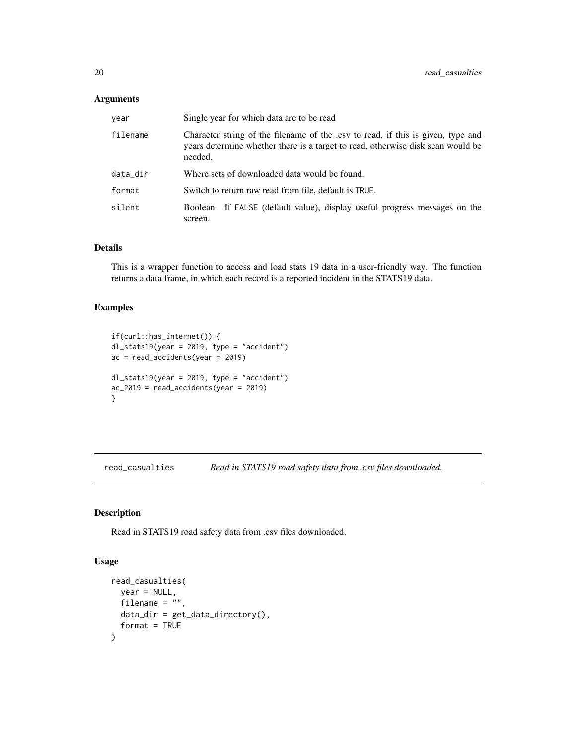### <span id="page-19-0"></span>Arguments

| year     | Single year for which data are to be read                                                                                                                                      |
|----------|--------------------------------------------------------------------------------------------------------------------------------------------------------------------------------|
| filename | Character string of the filename of the .csv to read, if this is given, type and<br>years determine whether there is a target to read, otherwise disk scan would be<br>needed. |
| data_dir | Where sets of downloaded data would be found.                                                                                                                                  |
| format   | Switch to return raw read from file, default is TRUE.                                                                                                                          |
| silent   | Boolean. If FALSE (default value), display useful progress messages on the<br>screen.                                                                                          |

### Details

This is a wrapper function to access and load stats 19 data in a user-friendly way. The function returns a data frame, in which each record is a reported incident in the STATS19 data.

#### Examples

```
if(curl::has_internet()) {
dl_stats19(year = 2019, type = "accident")
ac = read_accidents(year = 2019)
dl_stats19(year = 2019, type = "accident")
ac_22019 = read_accidents(year = 2019)
}
```
read\_casualties *Read in STATS19 road safety data from .csv files downloaded.*

#### Description

Read in STATS19 road safety data from .csv files downloaded.

#### Usage

```
read_casualties(
 year = NULL,
 filename = "",
 data_dir = get_data_directory(),
  format = TRUE
)
```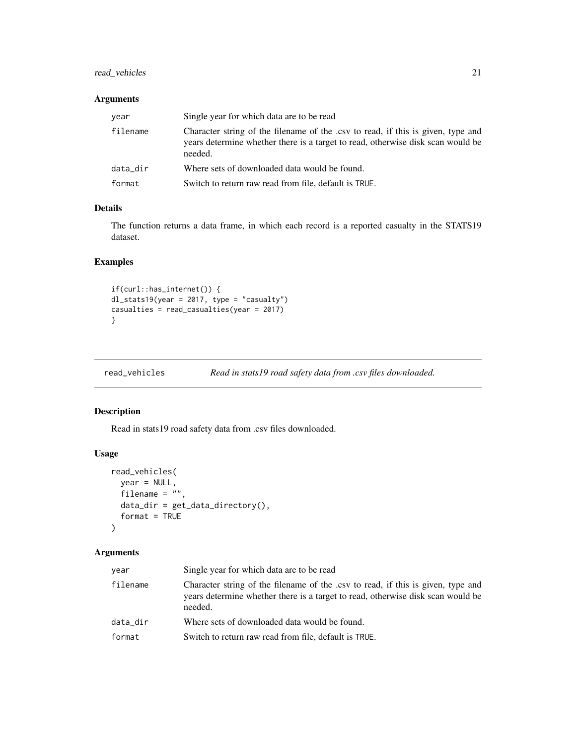### <span id="page-20-0"></span>read\_vehicles 21

### Arguments

| year     | Single year for which data are to be read                                                                                                                                      |
|----------|--------------------------------------------------------------------------------------------------------------------------------------------------------------------------------|
| filename | Character string of the filename of the .csv to read, if this is given, type and<br>years determine whether there is a target to read, otherwise disk scan would be<br>needed. |
| data_dir | Where sets of downloaded data would be found.                                                                                                                                  |
| format   | Switch to return raw read from file, default is TRUE.                                                                                                                          |

### Details

The function returns a data frame, in which each record is a reported casualty in the STATS19 dataset.

### Examples

```
if(curl::has_internet()) {
dl_stats19(year = 2017, type = "casualty")
casualties = read_casualties(year = 2017)
}
```

| read_vehicles | Read in stats19 road safety data from .csv files downloaded. |
|---------------|--------------------------------------------------------------|
|---------------|--------------------------------------------------------------|

### Description

Read in stats19 road safety data from .csv files downloaded.

#### Usage

```
read_vehicles(
  year = NULL,
  filename = \frac{1}{n},
  data_dir = get_data_directory(),
  format = TRUE
\mathcal{L}
```
### Arguments

| year     | Single year for which data are to be read                                                                                                                                      |
|----------|--------------------------------------------------------------------------------------------------------------------------------------------------------------------------------|
| filename | Character string of the filename of the .csv to read, if this is given, type and<br>years determine whether there is a target to read, otherwise disk scan would be<br>needed. |
| data_dir | Where sets of downloaded data would be found.                                                                                                                                  |
| format   | Switch to return raw read from file, default is TRUE.                                                                                                                          |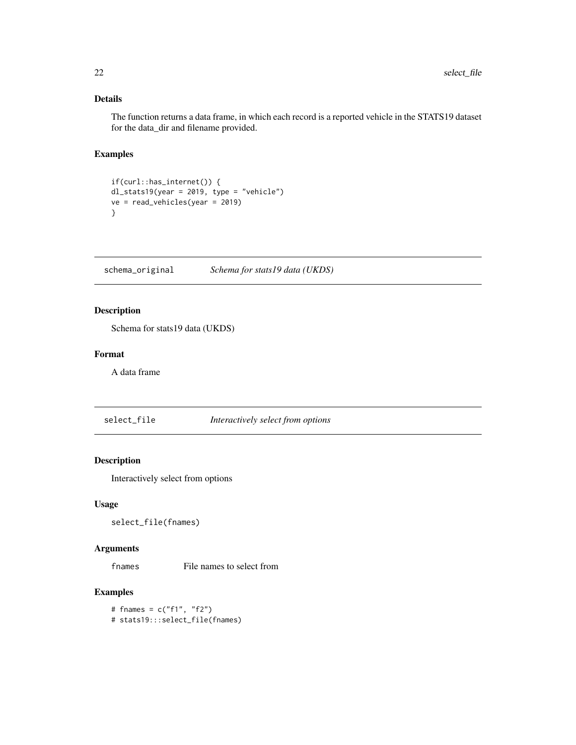<span id="page-21-0"></span>The function returns a data frame, in which each record is a reported vehicle in the STATS19 dataset for the data\_dir and filename provided.

### Examples

```
if(curl::has_internet()) {
dl_stats19(year = 2019, type = "vehicle")
ve = read_vehicles(year = 2019)
}
```
schema\_original *Schema for stats19 data (UKDS)*

### Description

Schema for stats19 data (UKDS)

### Format

A data frame

select\_file *Interactively select from options*

### Description

Interactively select from options

### Usage

select\_file(fnames)

### Arguments

fnames File names to select from

### Examples

# fnames = c("f1", "f2") # stats19:::select\_file(fnames)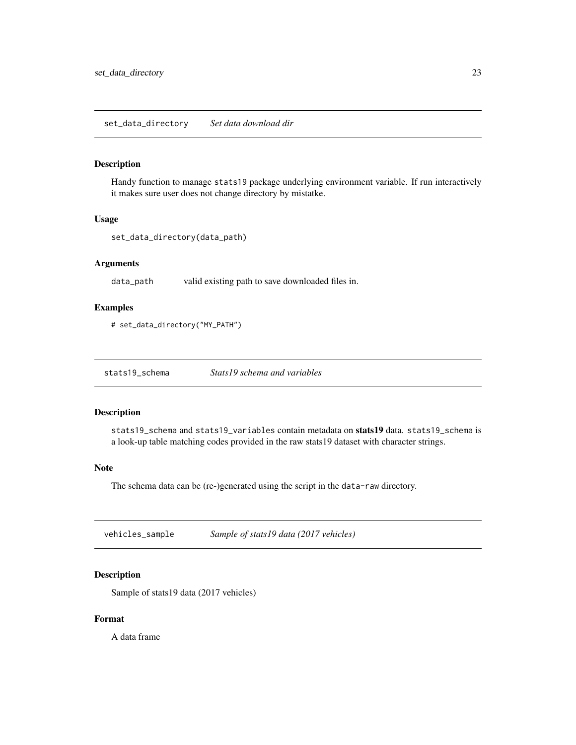#### <span id="page-22-0"></span>Description

Handy function to manage stats19 package underlying environment variable. If run interactively it makes sure user does not change directory by mistatke.

#### Usage

```
set_data_directory(data_path)
```
### Arguments

data\_path valid existing path to save downloaded files in.

#### Examples

# set\_data\_directory("MY\_PATH")

stats19\_schema *Stats19 schema and variables*

#### Description

stats19\_schema and stats19\_variables contain metadata on stats19 data. stats19\_schema is a look-up table matching codes provided in the raw stats19 dataset with character strings.

#### Note

The schema data can be (re-)generated using the script in the data-raw directory.

vehicles\_sample *Sample of stats19 data (2017 vehicles)*

### Description

Sample of stats19 data (2017 vehicles)

### Format

A data frame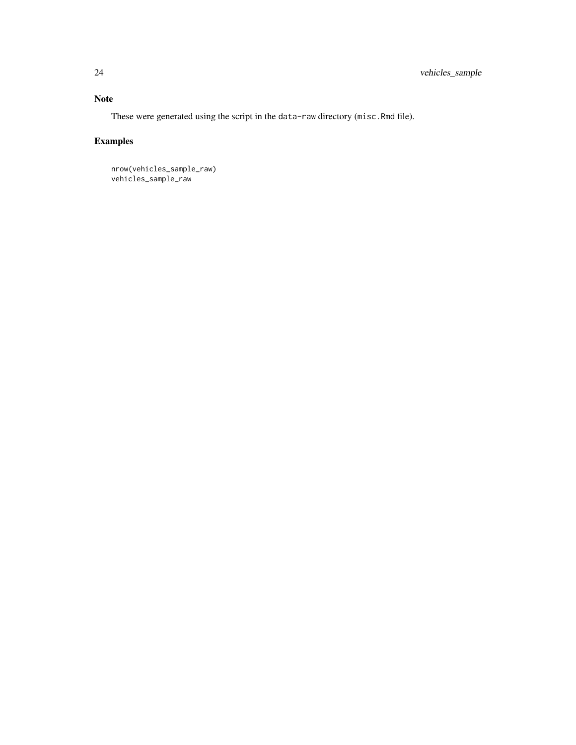### Note

These were generated using the script in the data-raw directory (misc.Rmd file).

## Examples

nrow(vehicles\_sample\_raw) vehicles\_sample\_raw